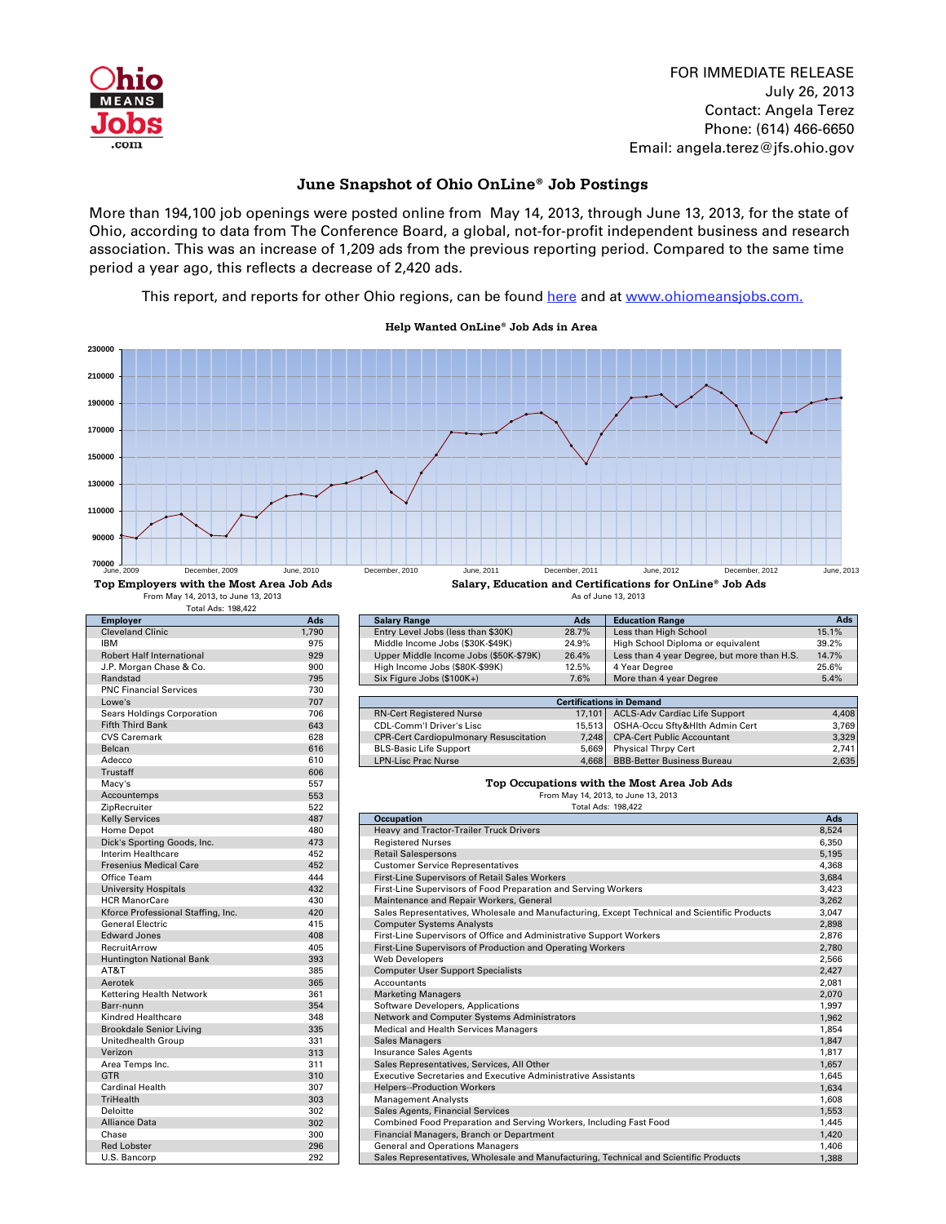

FOR IMMEDIATE RELEASE July 26, 2013 Contact: Angela Terez Phone: (614) 466-6650 Email: angela.terez@jfs.ohio.gov

## **June Snapshot of Ohio OnLine**® **Job Postings**

More than 194,100 job openings were posted online from May 14, 2013, through June 13, 2013, for the state of Ohio, according to data from The Conference Board, a global, not-for-profit independent business and research association. This was an increase of 1,209 ads from the previous reporting period. Compared to the same time period a year ago, this reflects a decrease of 2,420 ads.

[This report, and reports for other Ohio regions, can be found here and at](http://ohiolmi.com/asp/omj/hw.htm) www.ohiomeansjobs.com.

Total Ads: 198,422 **Employer Ads Salary Range Ads Education Range Ads.** Cleveland Clinic 1,790 Entry Level Jobs (less than \$30K) 28.7% Less than High School 15.1% 15.1% 15.1% Cleveland Clinic 15.1% 15.1% 16.1% PHIGH School 15.1% 15.1% 16.1% PHIGH School Diploma or equivalent 39.2% Niddle Incom IBM 975 975 Middle Income Jobs (\$30K-\$49K) 24.9% High School Diploma or equivalent 39.2% 89.2% High School Diploma or equivalent 39.2% Upper Middle Income Jobs (\$50K-\$79K) 26.4% Less than 4 year Degree, but more than H.S. Robert Middle Income Jobs (\$50K-\$79K) 26.4% Less than 4 year Degree, but more than H.S. 14.7% Less than 4 year Degree, but more than H.S. 14.7% J.P. Morgan Chase & Co. 900 900 High Income Jobs (\$80K-\$99K) 12.5% 4 Year Degree 25.6% 25.6% 4 Year Degree 25.6% 4 Year Degree 25.6% 4 Year Degree 25.6% 4 Year Degree 25.6% 5.4% Randstad Randstad 1955 Six Figure Jobs (\$100K+) 7.6% More than 4 year Degree 5.4% More than 4 year Degree 5.4%<br>T30 PNC Financial Services 730<br>
Lowe's 707 Sears Holdings Corporation 706 Sears Holdings Corporation 1706 RN-Cert Registered Nurse 17,101 ACLS-Adv Cardiac Life Support 4,408<br>Fifth Third Bank CDL Comminant CDL Comminant CDL Comminant CDL Comminant Comminant 15,513 OSHA-Occu Sftv&Hlth Admin Cert 3 Fifth Third Bank 643 CDL-Comm'l Driver's Lisc 15,513 OSHA-Occu Sfty&Hlth Admin Cert 3,769<br>CDR-Cert Cardiopulmonary Resuscitation 7,248 CPA-Cert Public Accountant 3,329 CPR-Cert Cardiopulmonary Resuscitation 7,248<br>BLS-Basic Life Support 5,669 Belcan 616 Belcan 616 BLS-Basic Life Support 5,669 Physical Thrpy Cert 2,741 Adecco 610 LPN-Lisc Prac Nurse 4,668 BBB-Better Business Bureau 2,635 Trustaff 606 Macy's 557<br>Accountemps 553 Accountemps 553<br>
ZipRecruiter 522 ZipRecruiter 522 198,422 Kelly Services 487 **| Occupation Ads** Home Depot 480 Heavy and Tractor-Trailer Truck Drivers and Tractor-Trailer Truck Drivers 6.5524 Because 1973 8,524<br>Dick's Sporting Goods. Inc. 473 Registered Nurses 8,530 Dick's Sporting Goods, Inc. 6,350 and 473 Registered Nurses 6,360 and 5,195 and 6,350 and 6,350 and 6,350 and 6,350 and 6,350 and 6,350 and 6,350 and 6,350 and 6,350 and 6,350 and 6,350 and 6,350 and 6,350 and 6,350 and 6, Interim Healthcare 452 Retail Salespersons 5,195 Fresenius Medical Care 1982 Customer Service Representatives<br>1,3684 Cliftice Team 1,3684 Customer Service Representatives<br>1,684 Customer Service Representatives 4,444 Customer Service Representatives Office Team **444** Trist-Line Supervisors of Retail Sales Workers 3,684 and the Supervisors of Retail Sales Workers<br>3,423 3,423 3,423 Trist-Line Supervisors of Food Preparation and Serving Workers University Hospitals **1988 Contract Access 13,423** First-Line Supervisors of Food Preparation and Serving Workers<br>HCR ManorCare **1988 Contract Access 13,262** Maintenance and Repair Workers, General HCR ManorCare 430 Maintenance and Repair Workers, General 3,262 Sales Representatives, Wholesale and Manufacturing, Except Technical and Scientific Products General Electric **12.898** Computer Systems Analysts 2,898<br>Edward Jones **12.876** Computer Systems Analysts 2.876 Computer Systems Analysts 2.876 Computer Systems Analysts Edward Jones 408 First-Line Supervisors of Office and Administrative Support Workers 2,876<br>
RecruitArrow 405 First-Line Supervisors of Production and Operating Workers 2,780 2,780 RecruitArrow 1995 AccruitArrow 405 First-Line Supervisors of Production and Operating Workers 2,780<br>
Huntington National Bank 2,566 2566 2,566 Huntington National Bank 2,566<br>AT&T 2,427 September 2,427 September 2,437 Computer User Support Specialists 2,427 September 2,427 September 2 AT&T 385 Computer User Support Specialists 2,427 AT&T 385 2,427<br>Aerotek 365 365 Accountants 2,081 Aerotek 365 Accountants 2,081 Accountants 2,081 Accountants 2,081 Accountants 2,081 Accountants 2,081 Accountants Kettering Health Network 2,070<br>Barr-nunn 1,997 Marketing Managers 2,070 Marketing Managers 2,070 Marketing Managers 2,070 Marketing Managers Software Developers, Applications Kindred Healthcare **1,962** Network and Computer Systems Administrators 1,962 Brookdale Senior Living 1,854 Medical and Health Services Managers 1,854 and Services Managers 1,854<br>
1,847 Medical and Sales Managers 1,847 and Services Managers 1,847 and Services Managers 1,847 and Services 1, Unitedhealth Group 331 Sales Managers 1,847 Sales Managers 1,847 Sales Managers 1,847 Sales Managers 1,847 Sales Managers 1,847 Sales Managers 1,847 Sales Managers 1,847 Sales Managers 1,847 Sales Managers 1,847 Sales Mana Verizon 1,817 1,817 1,817 1,817 1,817 1,817 1,817 1,817 1,817 1,817 1,817 1,817 1,817 1,817 1,817 1,817 1,817 1,957 1,957 1,957 1,957 1,957 1,957 1,957 1,957 1,957 1,957 1,957 1,957 1,957 1,957 1,957 1,957 1,957 1,957 1,95 Area Temps Inc. 2015 1,657 Sales Representatives, Services, All Other 1,657 Sales Representatives, Services, All Other 1,657 Sales Representatives, Services, All Other 1,645 Secretaries and Executive Administrative Assista Executive Secretaries and Executive Administrative Assistants Cardinal Health 307 Helpers--Production Workers 1,634 and 1,634 TriHealth 303 Management Analysts 1,608 Management Analysts 1,608 Management Analysts 1,608 Management Analysts Deloitte 302 Sales Agents, Financial Services<br>
202 Sales Agents, Financial Services<br>
202 Combined Food Preparation and Serving Workers, Including Fast Food 302 1,445 Alliance Data 302 302 Combined Food Preparation and Serving Workers, Including Fast Food 31,445<br>
Chase 300 5 Chase 300 5 Chase 300 5 Chase 300 5 Chase 300 5 Chase 31,420 Chase 300 Studies 200 Financial Managers, Branch or Department 300 Financial Managers 300 Chase 30 Chase 31,420<br>The Senate 300 Studies 31,406 Senate 31,406 Senate 31,406 Senate 31,406 Senate 31,406 Senate 31,406 Senate 31, General and Operations Managers U.S. Bancorp 292 Sales Representatives, Wholesale and Manufacturing, Technical and Scientific Products 1,388 Total Ads: From May 14, 2013, to June 13, 2013 As of June 13, 2013 **Top Occupations with the Most Area Job Ads** From May 14, 2013, to June 13, 2013 **Top Employers with the Most Area Job Ads Salary, Education and Certifications for OnLine**® **Job Ads Certifications in Demand 70000 90000 110000 130000 150000 170000 190000 210000 230000** June, 2009 December, 2009 June, 2010 December, 2010 June, 2011 December, 2011 June, 2012 December, 2012 June, 2013

 **Help Wanted OnLine**® **Job Ads in Area**